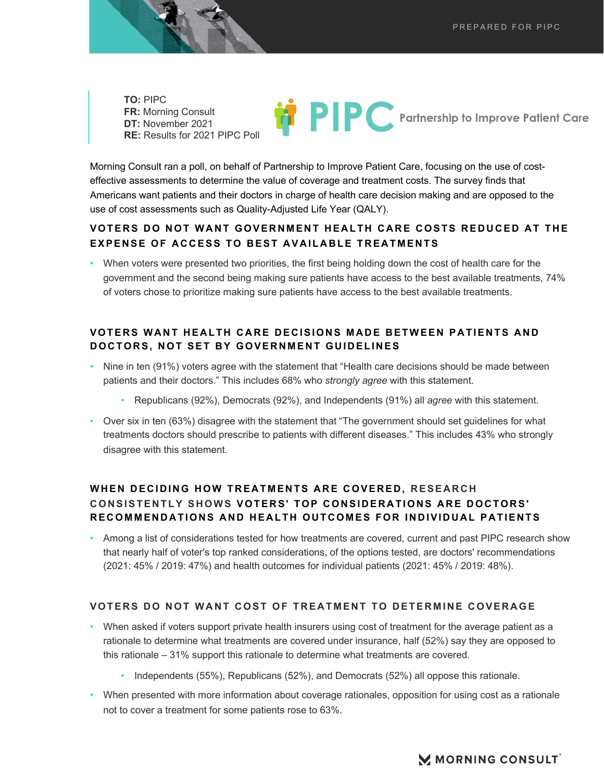**RE:** Results for 2021 PIPC Poll **TO:** PIPC **FR:** Morning Consult **DT:** November 2021

 Morning Consult ran a poll, on behalf of Partnership to Improve Patient Care, focusing on the use of cost-effective assessments to determine the value of coverage and treatment costs. The survey finds that

**PIPC** Partnership to Improve Patient Care

 Americans want patients and their doctors in charge of health care decision making and are opposed to the use of cost assessments such as Quality-Adjusted Life Year (QALY).

### **VOTERS DO NOT WANT GOVERNMENT HEALTH CARE COSTS REDUCED AT THE EXPENSE OF ACCESS TO BEST AVAILABLE TREATMENTS**

 • When voters were presented two priorities, the first being holding down the cost of health care for the government and the second being making sure patients have access to the best available treatments, 74% of voters chose to prioritize making sure patients have access to the best available treatments.

### **VOTERS WANT HEALTH CARE DECISIONS MADE BETWEEN PATIENTS AND DOCTORS, NOT SET BY GOVERNMENT GUIDELINES**

- • Nine in ten (91%) voters agree with the statement that "Health care decisions should be made between patients and their doctors." This includes 68% who *strongly agree* with this statement.
	- Republicans (92%), Democrats (92%), and Independents (91%) all *agree* with this statement.
- • Over six in ten (63%) disagree with the statement that "The government should set guidelines for what treatments doctors should prescribe to patients with different diseases." This includes 43% who strongly disagree with this statement.

# **WHEN DECIDING HOW TREATMENTS ARE COVERED, RESEARCH CONSISTENTLY SHOWS VOTERS' TOP CONSIDERATIONS ARE DOCTORS' RECOMMENDATIONS AND HEALTH OUTCOMES FOR INDIVIDUAL PATIENTS**

 • Among a list of considerations tested for how treatments are covered, current and past PIPC research show that nearly half of voter's top ranked considerations, of the options tested, are doctors' recommendations (2021: 45% / 2019: 47%) and health outcomes for individual patients (2021: 45% / 2019: 48%).

#### **VOTERS DO NOT WANT COST OF TREATMENT TO DETERMINE COVERAGE**

- • When asked if voters support private health insurers using cost of treatment for the average patient as a rationale to determine what treatments are covered under insurance, half (52%) say they are opposed to this rationale – 31% support this rationale to determine what treatments are covered.
	- Independents (55%), Republicans (52%), and Democrats (52%) all oppose this rationale.
- When presented with more information about coverage rationales, opposition for using cost as a rationale not to cover a treatment for some patients rose to 63%.